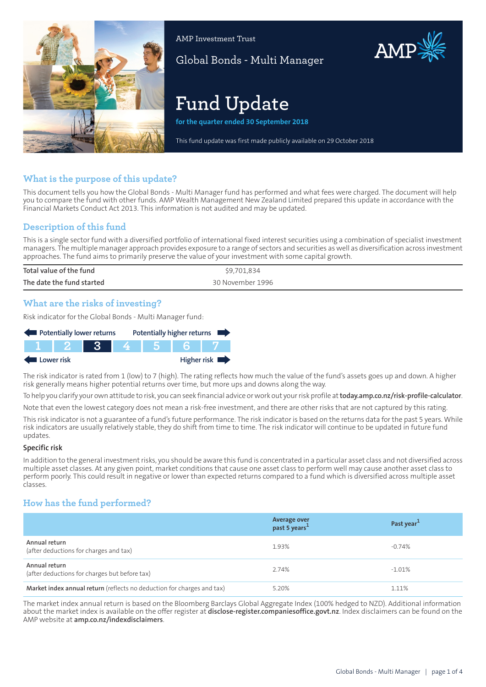

AMP Investment Trust

Global Bonds - Multi Manager

# **Fund Update**

**for the quarter ended 30 September 2018**

This fund update was first made publicly available on 29 October 2018

# **What is the purpose of this update?**

This document tells you how the Global Bonds - Multi Manager fund has performed and what fees were charged. The document will help you to compare the fund with other funds. AMP Wealth Management New Zealand Limited prepared this update in accordance with the Financial Markets Conduct Act 2013. This information is not audited and may be updated.

# **Description of this fund**

This is a single sector fund with a diversified portfolio of international fixed interest securities using a combination of specialist investment managers. The multiple manager approach provides exposure to a range of sectors and securities as well as diversification across investment approaches. The fund aims to primarily preserve the value of your investment with some capital growth.

| Total value of the fund   | \$9,701,834      |
|---------------------------|------------------|
| The date the fund started | 30 November 1996 |

## **What are the risks of investing?**

Risk indicator for the Global Bonds - Multi Manager fund:



The risk indicator is rated from 1 (low) to 7 (high). The rating reflects how much the value of the fund's assets goes up and down. A higher risk generally means higher potential returns over time, but more ups and downs along the way.

To help you clarify your own attitude to risk, you can seek financial advice orwork out yourrisk profile at**[today.amp.co.nz/risk-profile-calculator](http://today.amp.co.nz/risk-profile-calculator)**.

Note that even the lowest category does not mean a risk-free investment, and there are other risks that are not captured by this rating.

This risk indicator is not a guarantee of a fund's future performance. The risk indicator is based on the returns data for the past 5 years. While risk indicators are usually relatively stable, they do shift from time to time. The risk indicator will continue to be updated in future fund updates.

#### **Specific risk**

In addition to the general investmentrisks, you should be aware this fund is concentrated in a particular asset class and not diversified across multiple asset classes. At any given point, market conditions that cause one asset class to perform well may cause another asset class to perform poorly. This could result in negative or lower than expected returns compared to a fund which is diversified across multiple asset classes.

# **How has the fund performed?**

|                                                                        | Average over<br>past 5 years <sup>1</sup> | Past year <sup>1</sup> |
|------------------------------------------------------------------------|-------------------------------------------|------------------------|
| Annual return<br>(after deductions for charges and tax)                | 1.93%                                     | -0.74%                 |
| Annual return<br>(after deductions for charges but before tax)         | 2.74%                                     | $-1.01\%$              |
| Market index annual return (reflects no deduction for charges and tax) | 5.20%                                     | 1.11%                  |

The market index annual return is based on the Bloomberg Barclays Global Aggregate Index (100% hedged to NZD). Additional information about the market index is available on the offer register at **[disclose-register.companiesoffice.govt.nz](https://disclose-register.companiesoffice.govt.nz/)**. Index disclaimers can be found on the AMP website at **[amp.co.nz/indexdisclaimers](http://amp.co.nz/indexdisclaimers)**.

AMP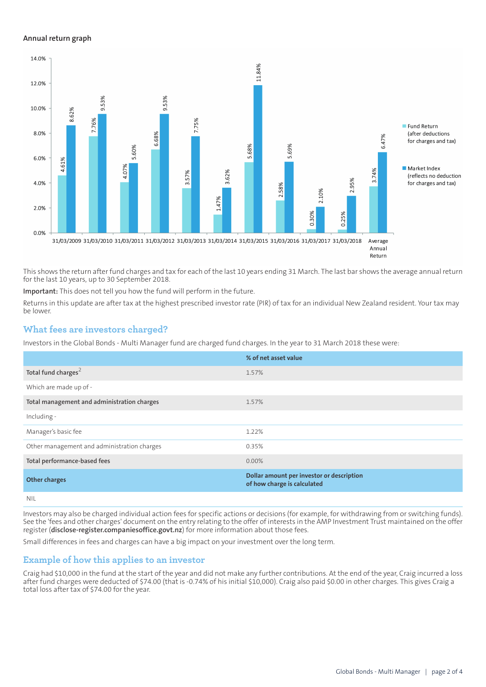#### **Annual return graph**



This shows the return after fund charges and tax for each of the last 10 years ending 31 March. The last bar shows the average annual return for the last 10 years, up to 30 September 2018.

**Important:** This does not tell you how the fund will perform in the future.

Returns in this update are after tax at the highest prescribed investor rate (PIR) of tax for an individual New Zealand resident. Your tax may be lower.

## **What fees are investors charged?**

Investors in the Global Bonds - Multi Manager fund are charged fund charges. In the year to 31 March 2018 these were:

|                                             | % of net asset value                                                     |
|---------------------------------------------|--------------------------------------------------------------------------|
| Total fund charges <sup>2</sup>             | 1.57%                                                                    |
| Which are made up of -                      |                                                                          |
| Total management and administration charges | 1.57%                                                                    |
| Including -                                 |                                                                          |
| Manager's basic fee                         | 1.22%                                                                    |
| Other management and administration charges | 0.35%                                                                    |
| Total performance-based fees                | $0.00\%$                                                                 |
| <b>Other charges</b>                        | Dollar amount per investor or description<br>of how charge is calculated |
| NII                                         |                                                                          |

Investors may also be charged individual action fees for specific actions or decisions (for example, for withdrawing from or switching funds). See the 'fees and other charges' document on the entry relating to the offer of interests in the AMP Investment Trust maintained on the offer register (**[disclose-register.companiesoffice.govt.nz](https://disclose-register.companiesoffice.govt.nz/)**) for more information about those fees.

Small differences in fees and charges can have a big impact on your investment over the long term.

## **Example of how this applies to an investor**

Craig had \$10,000 in the fund at the start of the year and did not make any further contributions. At the end of the year, Craig incurred a loss after fund charges were deducted of \$74.00 (that is -0.74% of his initial \$10,000). Craig also paid \$0.00 in other charges. This gives Craig a total loss after tax of \$74.00 for the year.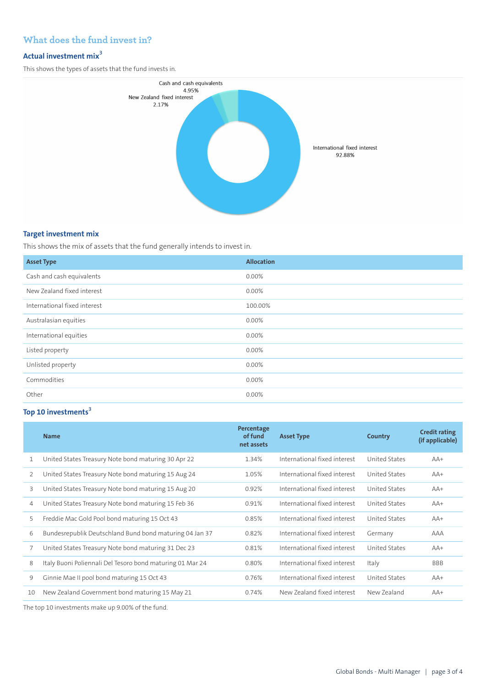# **What does the fund invest in?**

# **Actual investment mix<sup>3</sup>**

This shows the types of assets that the fund invests in.



#### **Target investment mix**

This shows the mix of assets that the fund generally intends to invest in.

| <b>Asset Type</b>            | <b>Allocation</b> |
|------------------------------|-------------------|
| Cash and cash equivalents    | 0.00%             |
| New Zealand fixed interest   | $0.00\%$          |
| International fixed interest | 100.00%           |
| Australasian equities        | $0.00\%$          |
| International equities       | 0.00%             |
| Listed property              | 0.00%             |
| Unlisted property            | $0.00\%$          |
| Commodities                  | 0.00%             |
| Other                        | 0.00%             |

# **Top 10 investments<sup>3</sup>**

|    | <b>Name</b>                                               | Percentage<br>of fund<br>net assets | <b>Asset Type</b>            | Country       | <b>Credit rating</b><br>(if applicable) |
|----|-----------------------------------------------------------|-------------------------------------|------------------------------|---------------|-----------------------------------------|
| 1  | United States Treasury Note bond maturing 30 Apr 22       | 1.34%                               | International fixed interest | United States | $AA+$                                   |
| 2  | United States Treasury Note bond maturing 15 Aug 24       | 1.05%                               | International fixed interest | United States | $AA+$                                   |
| 3  | United States Treasury Note bond maturing 15 Aug 20       | 0.92%                               | International fixed interest | United States | $AA+$                                   |
| 4  | United States Treasury Note bond maturing 15 Feb 36       | 0.91%                               | International fixed interest | United States | $AA+$                                   |
| 5  | Freddie Mac Gold Pool bond maturing 15 Oct 43             | 0.85%                               | International fixed interest | United States | $AA+$                                   |
| 6  | Bundesrepublik Deutschland Bund bond maturing 04 Jan 37   | 0.82%                               | International fixed interest | Germany       | AAA                                     |
|    | United States Treasury Note bond maturing 31 Dec 23       | 0.81%                               | International fixed interest | United States | $AA+$                                   |
| 8  | Italy Buoni Poliennali Del Tesoro bond maturing 01 Mar 24 | 0.80%                               | International fixed interest | Italy         | <b>BBB</b>                              |
| 9  | Ginnie Mae II pool bond maturing 15 Oct 43                | 0.76%                               | International fixed interest | United States | $AA+$                                   |
| 10 | New Zealand Government bond maturing 15 May 21            | 0.74%                               | New Zealand fixed interest   | New Zealand   | $AA+$                                   |

The top 10 investments make up 9.00% of the fund.